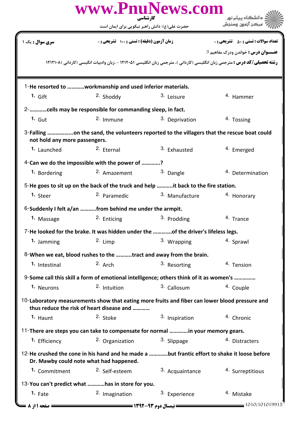|                                                                                                                                             | www.PnuNews.com                                                                        | کارشناسی                | دانشگاه بیام نور                                                                                                                 |  |  |
|---------------------------------------------------------------------------------------------------------------------------------------------|----------------------------------------------------------------------------------------|-------------------------|----------------------------------------------------------------------------------------------------------------------------------|--|--|
|                                                                                                                                             | حضرت علی(ع): دانش راهبر نیکویی برای ایمان است                                          |                         |                                                                                                                                  |  |  |
| <b>سری سوال :</b> یک ۱                                                                                                                      | زمان آزمون (دقیقه) : تستی ; 100 تشریحی ; .                                             |                         | <b>تعداد سوالات : تستي : 50 ٪ تشريحي : 0</b>                                                                                     |  |  |
|                                                                                                                                             |                                                                                        |                         | عنـــوان درس: خواندن ودرک مفاهیم 3                                                                                               |  |  |
|                                                                                                                                             |                                                                                        |                         | <b>رشته تحصیلی/کد درس : م</b> ترجمی زبان انگلیسی (کاردانی )، مترجمی زبان انگلیسی 1۲۱۲۰۵ - ،زبان وادبیات انگیسی (کاردانی )۱۲۱۲۱۰۸ |  |  |
| 1-He resorted to workmanship and used inferior materials.                                                                                   |                                                                                        |                         |                                                                                                                                  |  |  |
| $1.$ Gift                                                                                                                                   | <sup>2.</sup> Shoddy                                                                   | 3. Leisure              | <sup>4.</sup> Hammer                                                                                                             |  |  |
|                                                                                                                                             | 2- cells may be responsible for commanding sleep, in fact.                             |                         |                                                                                                                                  |  |  |
| $1.$ Gut                                                                                                                                    | 2. Immune                                                                              | 3. Deprivation          | <sup>4</sup> Tossing                                                                                                             |  |  |
| 3-Falling on the sand, the volunteers reported to the villagers that the rescue boat could<br>not hold any more passengers.                 |                                                                                        |                         |                                                                                                                                  |  |  |
| <sup>1.</sup> Launched                                                                                                                      | <sup>2.</sup> Eternal                                                                  | <sup>3.</sup> Exhausted | 4. Emerged                                                                                                                       |  |  |
|                                                                                                                                             | 4-Can we do the impossible with the power of ?                                         |                         |                                                                                                                                  |  |  |
| 1. Bordering                                                                                                                                | 2. Amazement                                                                           | 3. Dangle               | <sup>4.</sup> Determination                                                                                                      |  |  |
| 5-He goes to sit up on the back of the truck and help it back to the fire station.                                                          |                                                                                        |                         |                                                                                                                                  |  |  |
| 1. Steer                                                                                                                                    | <sup>2.</sup> Paramedic                                                                | 3. Manufacture          | 4. Honorary                                                                                                                      |  |  |
|                                                                                                                                             | 6-Suddenly I felt a/an from behind me under the armpit.                                |                         |                                                                                                                                  |  |  |
| 1. Massage                                                                                                                                  | <sup>2.</sup> Enticing                                                                 | 3. Prodding             | <sup>4.</sup> Trance                                                                                                             |  |  |
|                                                                                                                                             | 7-He looked for the brake. It was hidden under the of the driver's lifeless legs.      |                         |                                                                                                                                  |  |  |
| 1. Jamming                                                                                                                                  | 2. Limp                                                                                | 3. Wrapping             | 4. Sprawl                                                                                                                        |  |  |
|                                                                                                                                             | 8-When we eat, blood rushes to the tract and away from the brain.                      |                         |                                                                                                                                  |  |  |
| 1. Intestinal                                                                                                                               | $2.$ Arch                                                                              | <sup>3.</sup> Resorting | 4. Tension                                                                                                                       |  |  |
|                                                                                                                                             | 9-Some call this skill a form of emotional intelligence; others think of it as women's |                         |                                                                                                                                  |  |  |
| 1. Neurons                                                                                                                                  | <sup>2.</sup> Intuition                                                                | 3. Callosum             | 4. Couple                                                                                                                        |  |  |
| 10-Laboratory measurements show that eating more fruits and fiber can lower blood pressure and<br>thus reduce the risk of heart disease and |                                                                                        |                         |                                                                                                                                  |  |  |
| 1. Haunt                                                                                                                                    | <sup>2.</sup> Stoke                                                                    | 3. Inspiration          | <sup>4.</sup> Chronic                                                                                                            |  |  |
| 11-There are steps you can take to compensate for normal in your memory gears.                                                              |                                                                                        |                         |                                                                                                                                  |  |  |
| 1. Efficiency                                                                                                                               | <sup>2.</sup> Organization                                                             | 3. Slippage             | 4. Distracters                                                                                                                   |  |  |
| 12-He crushed the cone in his hand and he made a but frantic effort to shake it loose before<br>Dr. Mawby could note what had happened.     |                                                                                        |                         |                                                                                                                                  |  |  |
| 1. Commitment                                                                                                                               | <sup>2.</sup> Self-esteem                                                              | 3. Acquaintance         | 4. Surreptitious                                                                                                                 |  |  |
| 13-You can't predict what has in store for you.                                                                                             |                                                                                        |                         |                                                                                                                                  |  |  |
| $1.$ Fate                                                                                                                                   | 2. Imagination                                                                         | 3. Experience           | <sup>4.</sup> Mistake                                                                                                            |  |  |
| $\blacktriangleright$ صفحه ۱۱ز ۸ ک                                                                                                          |                                                                                        |                         | $=$ 1010/101019915                                                                                                               |  |  |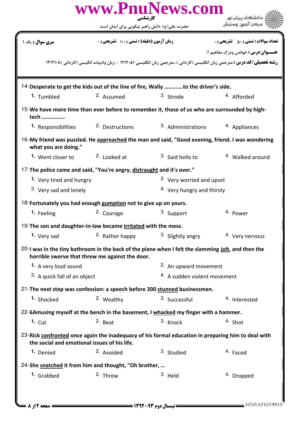|                                                                           | کار شناسی                                       | www.PnuNews.com                                                                                                                  | دانشگاه پیام نور                             |  |  |
|---------------------------------------------------------------------------|-------------------------------------------------|----------------------------------------------------------------------------------------------------------------------------------|----------------------------------------------|--|--|
|                                                                           | حضرت علی(ع): دانش راهبر نیکویی برای ایمان است   |                                                                                                                                  | مركز آزمون وسندش                             |  |  |
| <b>سری سوال :</b> یک ۱                                                    | زمان آزمون (دقیقه) : تستی : ۱۰۰٪ تشریحی : ۰     |                                                                                                                                  | <b>تعداد سوالات : تستي : 50 ٪ تشريحي : 0</b> |  |  |
|                                                                           |                                                 |                                                                                                                                  | عنـــوان درس: خواندن ودرک مفاهیم 3           |  |  |
|                                                                           |                                                 | <b>رشته تحصیلی/کد درس :</b> مترجمی زبان انگلیسی (کاردانی )، مترجمی زبان انگلیسی ۱۲۱۲۰۵۱ - ،زبان وادبیات انگیسی (کاردانی )۱۲۱۲۱۰۸ |                                              |  |  |
|                                                                           |                                                 |                                                                                                                                  |                                              |  |  |
|                                                                           |                                                 | 14-Desperate to get the kids out of the line of fire, Wally to the driver's side.                                                |                                              |  |  |
| 1. Tumbled                                                                | 2. Assumed                                      | 3. Strode                                                                                                                        | <sup>4</sup> Afforded                        |  |  |
| tech                                                                      |                                                 | 15-We have more time than ever before to remember it, those of us who are surrounded by high-                                    |                                              |  |  |
| 1. Responsibilities                                                       | <sup>2.</sup> Destructions                      | 3. Administrations                                                                                                               | 4. Appliances                                |  |  |
| what you are doing."                                                      |                                                 | 16-My friend was puzzled. He approached the man and said, "Good evening, friend. I was wondering                                 |                                              |  |  |
| 1. Went closer to                                                         | <sup>2.</sup> Looked at                         | 3. Said hello to                                                                                                                 | <sup>4.</sup> Walked around                  |  |  |
| 17-The police came and said, "You're angry, distraught and it's over."    |                                                 |                                                                                                                                  |                                              |  |  |
| 1. Very tired and hungry                                                  |                                                 | <sup>2.</sup> Very worried and upset                                                                                             |                                              |  |  |
| 3. Very sad and lonely                                                    |                                                 | <sup>4.</sup> Very hungry and thirsty                                                                                            |                                              |  |  |
| 18-Fortunately you had enough gumption not to give up on yours.           |                                                 |                                                                                                                                  |                                              |  |  |
| 1. Feeling                                                                | <sup>2.</sup> Courage                           | 3. Support                                                                                                                       | 4. Power                                     |  |  |
| 19-The son and daughter-in-law became irritated with the mess.            |                                                 |                                                                                                                                  |                                              |  |  |
| 1. Very sad                                                               | 2. Rather happy                                 | 3. Slightly angry                                                                                                                | 4. Very nervous                              |  |  |
|                                                                           | horrible swerve that threw me against the door. | 20-I was in the tiny bathroom in the back of the plane when I felt the slamming jolt, and then the                               |                                              |  |  |
| 1. A very loud sound                                                      |                                                 | 2. An upward movement                                                                                                            |                                              |  |  |
| <sup>3.</sup> A quick fall of an object                                   |                                                 | <sup>4.</sup> A sudden violent movement                                                                                          |                                              |  |  |
| 21-The next step was confession: a speech before 200 stunned businessmen. |                                                 |                                                                                                                                  |                                              |  |  |
| 1. Shocked                                                                | 2. Wealthy                                      | 3. Successful                                                                                                                    | 4. Interested                                |  |  |
|                                                                           |                                                 | 22-6Amusing myself at the bench in the basement, I whacked my finger with a hammer.                                              |                                              |  |  |
| $1.$ Cut                                                                  | 2. Beat                                         | 3. Knock                                                                                                                         | 4. Shot                                      |  |  |
| the social and emotional issues of his life.                              |                                                 | 23-Rick confronted once again the inadequacy of his formal education in preparing him to deal with                               |                                              |  |  |
| 1. Denied                                                                 | <sup>2.</sup> Avoided                           | 3. Studied                                                                                                                       | <sup>4</sup> Faced                           |  |  |
| 24-She snatched it from him and thought, "Oh brother,                     |                                                 |                                                                                                                                  |                                              |  |  |
| 1. Grabbed                                                                | 2. Threw                                        | 3. Held                                                                                                                          | <sup>4.</sup> Dropped                        |  |  |
|                                                                           |                                                 |                                                                                                                                  |                                              |  |  |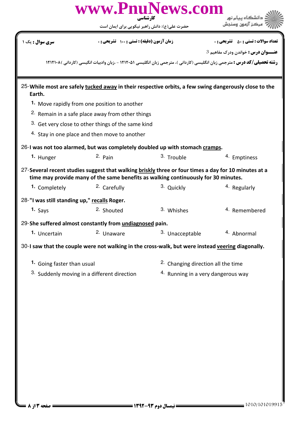|                                                                                                   | www.PnuNews.com<br>کار شناسی                                                                                                                                                               |                                                |                                                                                            |  |
|---------------------------------------------------------------------------------------------------|--------------------------------------------------------------------------------------------------------------------------------------------------------------------------------------------|------------------------------------------------|--------------------------------------------------------------------------------------------|--|
|                                                                                                   | حضرت علی(ع): دانش راهبر نیکویی برای ایمان است                                                                                                                                              |                                                |                                                                                            |  |
| <b>سری سوال :</b> یک ۱                                                                            | زمان آزمون (دقیقه) : تستی : 100 تشریحی : 0                                                                                                                                                 |                                                | <b>تعداد سوالات : تستي : 50 ٪ تشريحي : 0</b><br><b>عنـــوان درس :</b> خواندن ودرک مفاهیم 3 |  |
|                                                                                                   | <b>رشته تحصیلی/کد درس :</b> مترجمی زبان انگلیسی (کاردانی )، مترجمی زبان انگلیسی ۱۲۱۲۰۵۱ - ،زبان وادبیات انگیسی (کاردانی )۱۲۱۲۱۰۸                                                           |                                                |                                                                                            |  |
|                                                                                                   |                                                                                                                                                                                            |                                                |                                                                                            |  |
| Earth.                                                                                            | 25-While most are safely tucked away in their respective orbits, a few swing dangerously close to the                                                                                      |                                                |                                                                                            |  |
|                                                                                                   | 1. Move rapidly from one position to another                                                                                                                                               |                                                |                                                                                            |  |
|                                                                                                   | <sup>2.</sup> Remain in a safe place away from other things                                                                                                                                |                                                |                                                                                            |  |
|                                                                                                   | 3. Get very close to other things of the same kind                                                                                                                                         |                                                |                                                                                            |  |
|                                                                                                   | <sup>4.</sup> Stay in one place and then move to another                                                                                                                                   |                                                |                                                                                            |  |
|                                                                                                   | 26-I was not too alarmed, but was completely doubled up with stomach cramps.                                                                                                               |                                                |                                                                                            |  |
| 1. Hunger                                                                                         | $2.$ Pain                                                                                                                                                                                  | 3. Trouble                                     | 4. Emptiness                                                                               |  |
|                                                                                                   | 27-Several recent studies suggest that walking briskly three or four times a day for 10 minutes at a<br>time may provide many of the same benefits as walking continuously for 30 minutes. |                                                |                                                                                            |  |
| 1. Completely                                                                                     | <sup>2.</sup> Carefully                                                                                                                                                                    | 3. Quickly                                     | <sup>4</sup> Regularly                                                                     |  |
| 28-"I was still standing up," recalls Roger.                                                      |                                                                                                                                                                                            |                                                |                                                                                            |  |
| 1. $Says$                                                                                         | <sup>2.</sup> Shouted                                                                                                                                                                      | 3. Whishes                                     | <sup>4.</sup> Remembered                                                                   |  |
|                                                                                                   | 29-She suffered almost constantly from undiagnosed pain.                                                                                                                                   |                                                |                                                                                            |  |
| 1. Uncertain                                                                                      | 2. Unaware                                                                                                                                                                                 | 3. Unacceptable                                | 4. Abnormal                                                                                |  |
| 30-I saw that the couple were not walking in the cross-walk, but were instead veering diagonally. |                                                                                                                                                                                            |                                                |                                                                                            |  |
| 1. Going faster than usual                                                                        |                                                                                                                                                                                            | <sup>2</sup> . Changing direction all the time |                                                                                            |  |
|                                                                                                   | 3. Suddenly moving in a different direction                                                                                                                                                | 4. Running in a very dangerous way             |                                                                                            |  |
|                                                                                                   |                                                                                                                                                                                            |                                                |                                                                                            |  |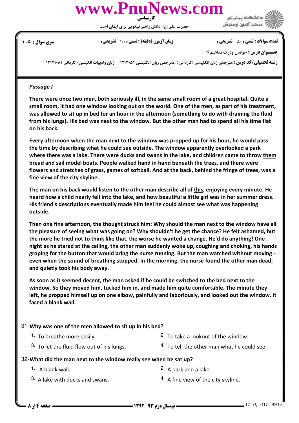

حضرت علي(ع): دانش راهبر نيكويي براي ايمان است

### نعداد سوالات : تستي : ۵۰ تشريحي : . زمان آزمون (دقيقه) : تستي : ۱۰۰ تشريحي : . سري سوال : يک 1



 $\,3\,$  عنـــوان درس : خواندن ودرک مفاهیم

ر**شته تحصیلی/کد درس :** مترجمی زبان انگلیسی (کاردانی )، مترجمی زبان انگلیسی ۱۲۱۲۰۵ - ،زبان وادبیات انگیسی (کاردانی )۱۲۱۲۱۰۸

#### Passage I

There were once two men, both seriously ill, in the same small room of a great hospital. Quite a small room, it had one window looking out on the world. One of the men, as part of his treatment, was allowed to sit up in bed for an hour in the afternoon (something to do with draining the fluid from his lungs). His bed was next to the window. But the other man had to spend all his time flat on his back.

Every afternoon when the man next to the window was propped up for his hour, he would pass the time by describing what he could see outside. The window apparently overlooked a park where there was a lake. There were ducks and swans in the lake, and children came to throw them bread and sail model boats. People walked hand in hand beneath the trees, and there were flowers and stretches of grass, games of softball. And at the back, behind the fringe of trees, was a fine view of the city skyline.

The man on his back would listen to the other man describe all of this, enjoying every minute. He heard how a child nearly fell into the lake, and how beautiful a little girl was in her summer dress. His friend's descriptions eventually made him feel he could almost see what was happening outside.

Then one fine afternoon, the thought struck him: Why should the man next to the window have all the pleasure of seeing what was going on? Why shouldn't he get the chance? He felt ashamed, but the more he tried not to think like that, the worse he wanted a change. He'd do anything! One night as he stared at the ceiling, the other man suddenly woke up, coughing and choking, his hands groping for the button that would bring the nurse running. But the man watched without moving even when the sound of breathing stopped. In the morning, the nurse found the other man dead, and quietly took his body away.

As soon as it seemed decent, the man asked if he could be switched to the bed next to the window. So they moved him, tucked him in, and made him quite comfortable. The minute they left, he propped himself up on one elbow, painfully and laboriously, and looked out the window. It faced a blank wall.

#### Why was one of the men allowed to sit up in his bed? 31-

- <sup>2.</sup> To take a lookout of the window.
- 3. To let the fluid flow out of his lungs.
- 4. To tell the other man what he could see.

# What did the man next to the window really see when he sat up? 32-

**1.** A blank wall.

 $2.$  A park and a lake.

3. A lake with ducks and swans.

**1.** To breathe more easily.

 $4.$  A fine view of the city skyline.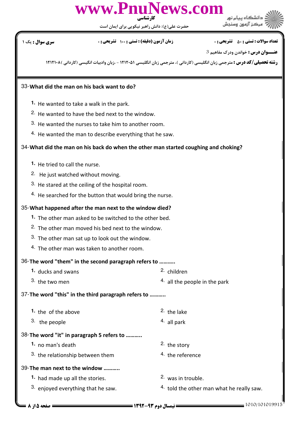

حضرت علي(ع): دانش راهبر نيكويي براي ايمان است

نعداد سوالات : تستي : ۵۰ تشريحي : . زمان آزمون (دقيقه) : تستي : ۱۰۰ تشريحي : . سري سوال : يک 1

 $\,3\,$  عنـــوان درس : خواندن ودرک مفاهیم

ر**شته تحصیلی/کد درس :** مترجمی زبان انگلیسی (کاردانی )، مترجمی زبان انگلیسی ۱۲۱۲۰۵ - ،زبان وادبیات انگیسی (کاردانی )۱۲۱۲۱۰۸

## What did the man on his back want to do? 33-

- He wanted to take a walk in the park. **1.**
- <sup>2.</sup> He wanted to have the bed next to the window.
- <sup>3.</sup> He wanted the nurses to take him to another room.
- $4.$  He wanted the man to describe everything that he saw.

## What did the man on his back do when the other man started coughing and choking? 34-

- 1. He tried to call the nurse.
- <sup>2.</sup> He just watched without moving.
- $3.$  He stared at the ceiling of the hospital room.
- $4.$  He searched for the button that would bring the nurse.

#### What happened after the man next to the window died? 35-

- 1. The other man asked to be switched to the other bed.
- <sup>2.</sup> The other man moved his bed next to the window.
- <sup>3.</sup> The other man sat up to look out the window.
- $4.$  The other man was taken to another room.

### 36-The word "them" in the second paragraph refers to ...........

- **1.** ducks and swans **1. 2.** children  $4.$  all the people in the park  $3.$  the two men
- 37-The word "this" in the third paragraph refers to ...........
	- **1.** the of the above **1.** 2. the lake the people all park 3. 4.
		-

# 38-The word "it" in paragraph 5 refers to ...........

- **1.** no man's death **1.** 2. the story
- <sup>3.</sup> the relationship between them  $1.36$  for the reference

# 39-The man next to the window ...........

- **1.** had made up all the stories. The stories are the set of 2. was in trouble.
- $3.$  enjoved everything that he saw.
- -
	- 4. told the other man what he really saw.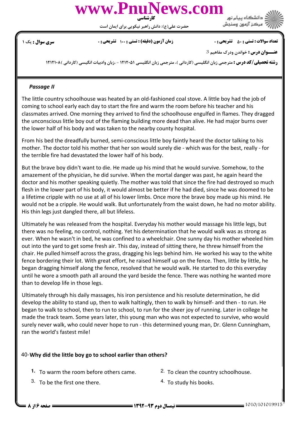

حضرت علي(ع): دانش راهبر نيكويي براي ايمان است

### نعداد سوالات : تستي : ۵۰ تشريحي : . زمان آزمون (دقيقه) : تستي : ۱۰۰ تشريحي : . سري سوال : يک 1

مركز آزمون وسنجش

 $\,3\,$  عنـــوان درس : خواندن ودرک مفاهیم

ر**شته تحصیلی/کد درس :** مترجمی زبان انگلیسی (کاردانی )، مترجمی زبان انگلیسی ۱۲۱۲۰۵ - ،زبان وادبیات انگیسی (کاردانی )۱۲۱۲۱۰۸

#### Passage II

The little country schoolhouse was heated by an old-fashioned coal stove. A little boy had the job of coming to school early each day to start the fire and warm the room before his teacher and his classmates arrived. One morning they arrived to find the schoolhouse engulfed in flames. They dragged the unconscious little boy out of the flaming building more dead than alive. He had major burns over the lower half of his body and was taken to the nearby county hospital.

From his bed the dreadfully burned, semi-conscious little boy faintly heard the doctor talking to his mother. The doctor told his mother that her son would surely die - which was for the best, really - for the terrible fire had devastated the lower half of his body.

But the brave boy didn't want to die. He made up his mind that he would survive. Somehow, to the amazement of the physician, he did survive. When the mortal danger was past, he again heard the doctor and his mother speaking quietly. The mother was told that since the fire had destroyed so much flesh in the lower part of his body, it would almost be better if he had died, since he was doomed to be a lifetime cripple with no use at all of his lower limbs. Once more the brave boy made up his mind. He would not be a cripple. He would walk. But unfortunately from the waist down, he had no motor ability. His thin legs just dangled there, all but lifeless.

Ultimately he was released from the hospital. Everyday his mother would massage his little legs, but there was no feeling, no control, nothing. Yet his determination that he would walk was as strong as ever. When he wasn't in bed, he was confined to a wheelchair. One sunny day his mother wheeled him out into the yard to get some fresh air. This day, instead of sitting there, he threw himself from the chair. He pulled himself across the grass, dragging his legs behind him. He worked his way to the white fence bordering their lot. With great effort, he raised himself up on the fence. Then, little by little, he began dragging himself along the fence, resolved that he would walk. He started to do this everyday until he wore a smooth path all around the yard beside the fence. There was nothing he wanted more than to develop life in those legs.

Ultimately through his daily massages, his iron persistence and his resolute determination, he did develop the ability to stand up, then to walk haltingly, then to walk by himself- and then - to run. He began to walk to school, then to run to school, to run for the sheer joy of running. Later in college he made the track team. Some years later, this young man who was not expected to survive, who would surely never walk, who could never hope to run - this determined young man, Dr. Glenn Cunningham, ran the world's fastest mile!

## Why did the little boy go to school earlier than others? 40-

- 1. To warm the room before others came.  $\frac{2}{1}$  To clean the country schoolhouse.
- <sup>3.</sup> To be the first one there.  $\frac{4}{10}$  To study his books.
- -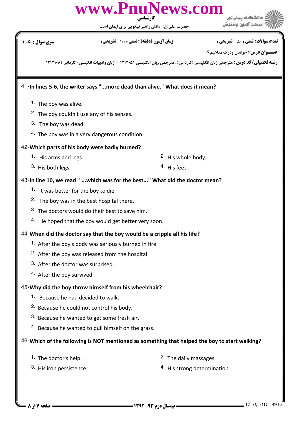